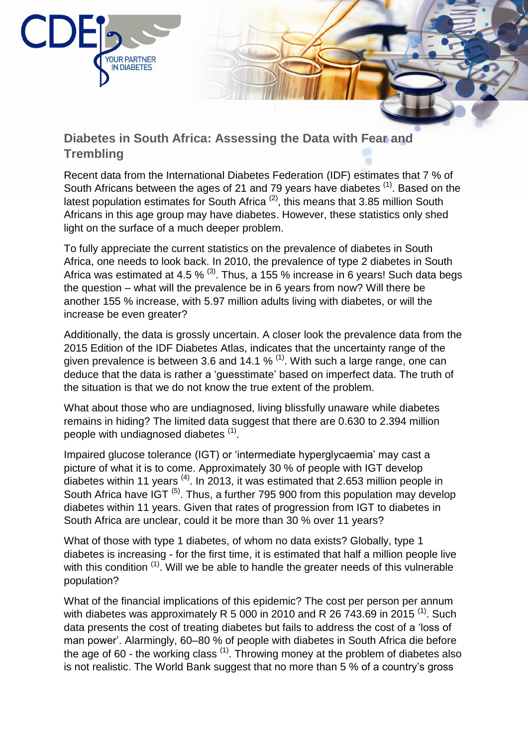

## **Diabetes in South Africa: Assessing the Data with Fear and Trembling**

Recent data from the International Diabetes Federation (IDF) estimates that 7 % of South Africans between the ages of 21 and 79 years have diabetes  $(1)$ . Based on the latest population estimates for South Africa (2), this means that 3.85 million South Africans in this age group may have diabetes. However, these statistics only shed light on the surface of a much deeper problem.

To fully appreciate the current statistics on the prevalence of diabetes in South Africa, one needs to look back. In 2010, the prevalence of type 2 diabetes in South Africa was estimated at 4.5 %  $(3)$ . Thus, a 155 % increase in 6 years! Such data begs the question – what will the prevalence be in 6 years from now? Will there be another 155 % increase, with 5.97 million adults living with diabetes, or will the increase be even greater?

Additionally, the data is grossly uncertain. A closer look the prevalence data from the 2015 Edition of the IDF Diabetes Atlas, indicates that the uncertainty range of the given prevalence is between 3.6 and 14.1 %  $<sup>(1)</sup>$ . With such a large range, one can</sup> deduce that the data is rather a 'guesstimate' based on imperfect data. The truth of the situation is that we do not know the true extent of the problem.

What about those who are undiagnosed, living blissfully unaware while diabetes remains in hiding? The limited data suggest that there are 0.630 to 2.394 million people with undiagnosed diabetes <sup>(1)</sup>.

Impaired glucose tolerance (IGT) or 'intermediate hyperglycaemia' may cast a picture of what it is to come. Approximately 30 % of people with IGT develop diabetes within 11 years  $^{(4)}$ . In 2013, it was estimated that 2.653 million people in South Africa have IGT<sup>(5)</sup>. Thus, a further 795 900 from this population may develop diabetes within 11 years. Given that rates of progression from IGT to diabetes in South Africa are unclear, could it be more than 30 % over 11 years?

What of those with type 1 diabetes, of whom no data exists? Globally, type 1 diabetes is increasing - for the first time, it is estimated that half a million people live with this condition <sup>(1)</sup>. Will we be able to handle the greater needs of this vulnerable population?

What of the financial implications of this epidemic? The cost per person per annum with diabetes was approximately R 5 000 in 2010 and R 26 743.69 in 2015  $^{(1)}$ . Such data presents the cost of treating diabetes but fails to address the cost of a 'loss of man power'. Alarmingly, 60–80 % of people with diabetes in South Africa die before the age of 60 - the working class  $(1)$ . Throwing money at the problem of diabetes also is not realistic. The World Bank suggest that no more than 5 % of a country's gross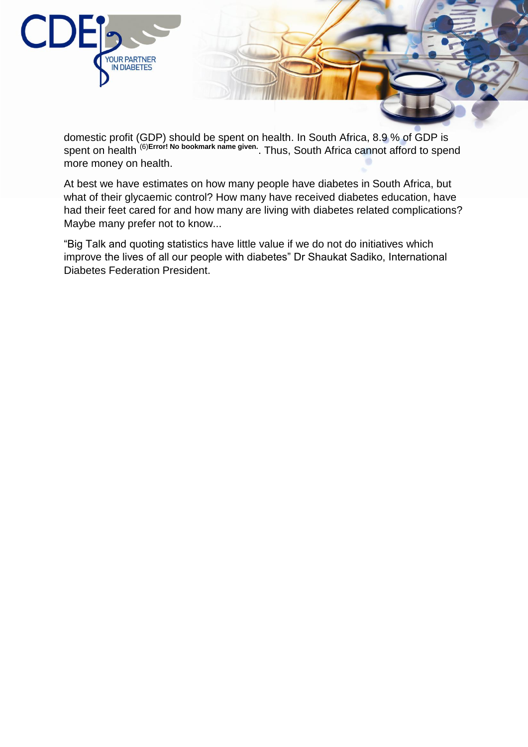

domestic profit (GDP) should be spent on health. In South Africa, 8.9 % of GDP is spent on health (6)Error! No bookmark name given... Thus, South Africa cannot afford to spend more money on health.

At best we have estimates on how many people have diabetes in South Africa, but what of their glycaemic control? How many have received diabetes education, have had their feet cared for and how many are living with diabetes related complications? Maybe many prefer not to know...

"Big Talk and quoting statistics have little value if we do not do initiatives which improve the lives of all our people with diabetes" Dr Shaukat Sadiko, International Diabetes Federation President.